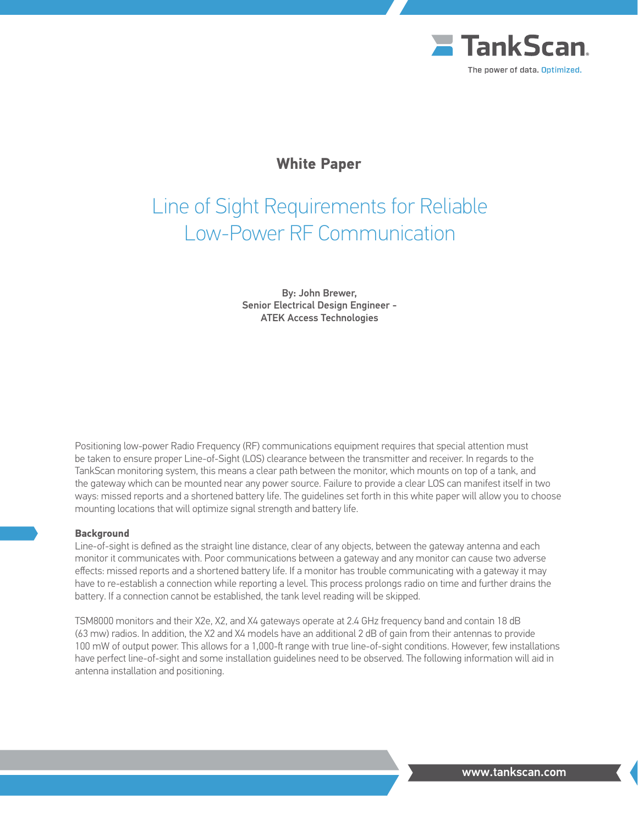

# Line of Sight Requirements for Reliable Low-Power RF Communication

By: John Brewer, Senior Electrical Design Engineer - ATEK Access Technologies

Positioning low-power Radio Frequency (RF) communications equipment requires that special attention must be taken to ensure proper Line-of-Sight (LOS) clearance between the transmitter and receiver. In regards to the TankScan monitoring system, this means a clear path between the monitor, which mounts on top of a tank, and the gateway which can be mounted near any power source. Failure to provide a clear LOS can manifest itself in two ways: missed reports and a shortened battery life. The guidelines set forth in this white paper will allow you to choose mounting locations that will optimize signal strength and battery life.

### **Background**

Line-of-sight is defined as the straight line distance, clear of any objects, between the gateway antenna and each monitor it communicates with. Poor communications between a gateway and any monitor can cause two adverse effects: missed reports and a shortened battery life. If a monitor has trouble communicating with a gateway it may have to re-establish a connection while reporting a level. This process prolongs radio on time and further drains the battery. If a connection cannot be established, the tank level reading will be skipped.

TSM8000 monitors and their X2e, X2, and X4 gateways operate at 2.4 GHz frequency band and contain 18 dB (63 mw) radios. In addition, the X2 and X4 models have an additional 2 dB of gain from their antennas to provide 100 mW of output power. This allows for a 1,000-ft range with true line-of-sight conditions. However, few installations have perfect line-of-sight and some installation guidelines need to be observed. The following information will aid in antenna installation and positioning.

www.tankscan.com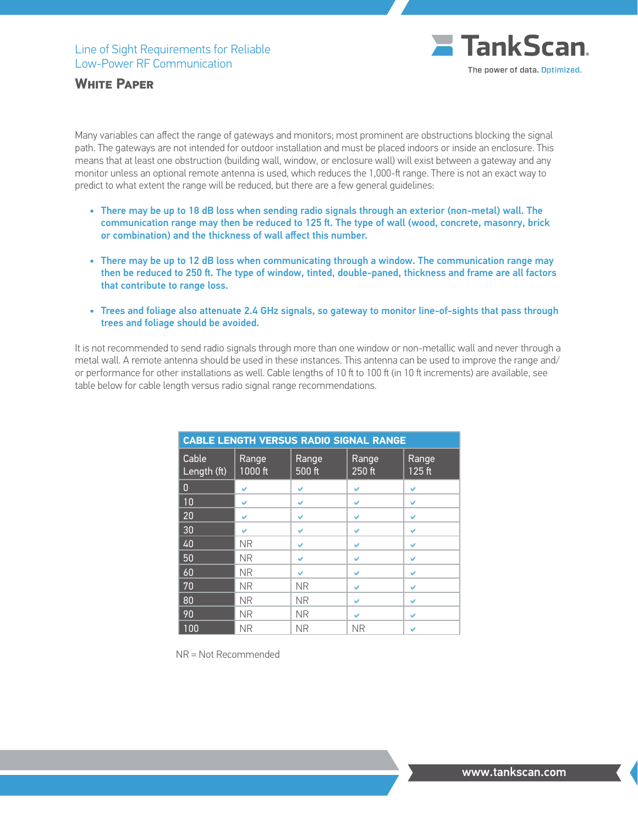

Many variables can affect the range of gateways and monitors; most prominent are obstructions blocking the signal path. The gateways are not intended for outdoor installation and must be placed indoors or inside an enclosure. This means that at least one obstruction (building wall, window, or enclosure wall) will exist between a gateway and any monitor unless an optional remote antenna is used, which reduces the 1,000-ft range. There is not an exact way to predict to what extent the range will be reduced, but there are a few general guidelines:

- • There may be up to 18 dB loss when sending radio signals through an exterior (non-metal) wall. The communication range may then be reduced to 125 ft. The type of wall (wood, concrete, masonry, brick or combination) and the thickness of wall affect this number.
- • There may be up to 12 dB loss when communicating through a window. The communication range may then be reduced to 250 ft. The type of window, tinted, double-paned, thickness and frame are all factors that contribute to range loss.
- • Trees and foliage also attenuate 2.4 GHz signals, so gateway to monitor line-of-sights that pass through trees and foliage should be avoided.

It is not recommended to send radio signals through more than one window or non-metallic wall and never through a metal wall. A remote antenna should be used in these instances. This antenna can be used to improve the range and/ or performance for other installations as well. Cable lengths of 10 ft to 100 ft (in 10 ft increments) are available, see table below for cable length versus radio signal range recommendations.

| <b>CABLE LENGTH VERSUS RADIO SIGNAL RANGE</b> |                  |                 |                 |                 |  |  |
|-----------------------------------------------|------------------|-----------------|-----------------|-----------------|--|--|
| Cable<br>Length (ft)                          | Range<br>1000 ft | Range<br>500 ft | Range<br>250 ft | Range<br>125 ft |  |  |
| $\mathbf{0}$                                  | U                | V               | V               | V               |  |  |
| 10                                            | U                | V               | V               | V               |  |  |
| 20                                            | U                | V               | V               | V               |  |  |
| 30                                            | U                | V               | V               | V               |  |  |
| 40                                            | <b>NR</b>        | V               | V               | V               |  |  |
| 50                                            | <b>NR</b>        | V               | V               | V               |  |  |
| 60                                            | <b>NR</b>        | U               | V               | V               |  |  |
| 70                                            | <b>NR</b>        | <b>NR</b>       | V               | ✓               |  |  |
| 80                                            | <b>NR</b>        | <b>NR</b>       | V               | V               |  |  |
| 90                                            | <b>NR</b>        | <b>NR</b>       | V               | V               |  |  |
| 100                                           | <b>NR</b>        | <b>NR</b>       | <b>NR</b>       |                 |  |  |

NR = Not Recommended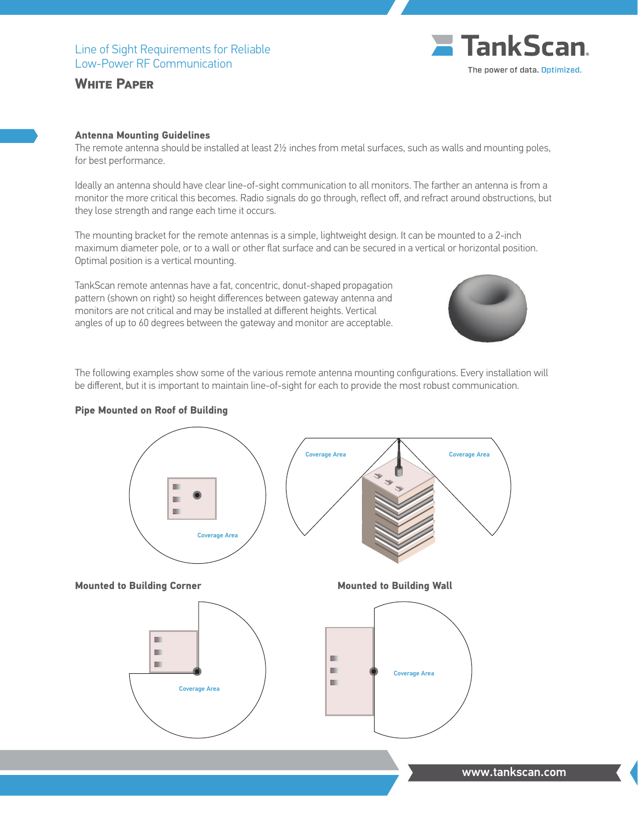#### **Antenna Mounting Guidelines**

The remote antenna should be installed at least 2½ inches from metal surfaces, such as walls and mounting poles, for best performance.

Ideally an antenna should have clear line-of-sight communication to all monitors. The farther an antenna is from a monitor the more critical this becomes. Radio signals do go through, reflect off, and refract around obstructions, but they lose strength and range each time it occurs.

The mounting bracket for the remote antennas is a simple, lightweight design. It can be mounted to a 2-inch maximum diameter pole, or to a wall or other flat surface and can be secured in a vertical or horizontal position. Optimal position is a vertical mounting.

TankScan remote antennas have a fat, concentric, donut-shaped propagation pattern (shown on right) so height differences between gateway antenna and monitors are not critical and may be installed at different heights. Vertical angles of up to 60 degrees between the gateway and monitor are acceptable.

The following examples show some of the various remote antenna mounting configurations. Every installation will be different, but it is important to maintain line-of-sight for each to provide the most robust communication.

#### **Pipe Mounted on Roof of Building**



www.tankscan.com

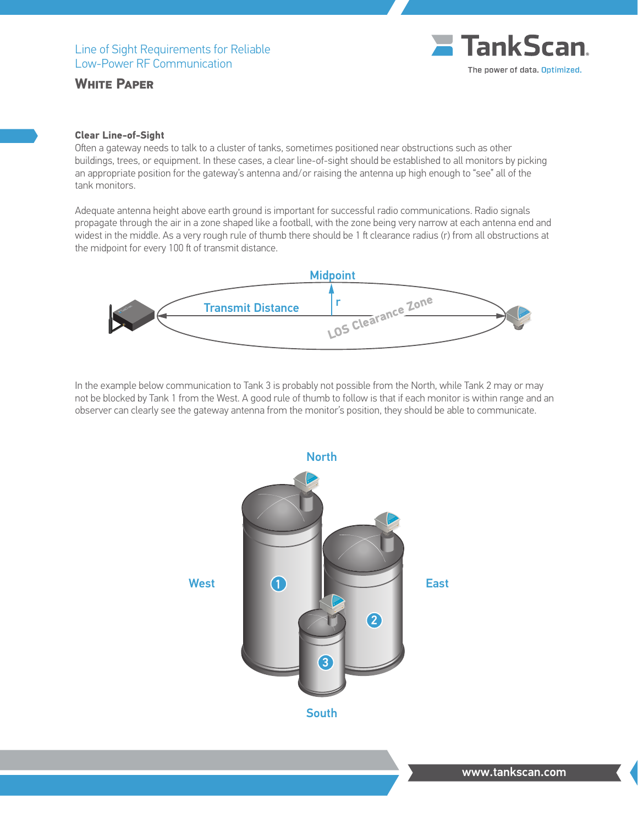

## **Clear Line-of-Sight**

Often a gateway needs to talk to a cluster of tanks, sometimes positioned near obstructions such as other buildings, trees, or equipment. In these cases, a clear line-of-sight should be established to all monitors by picking an appropriate position for the gateway's antenna and/or raising the antenna up high enough to "see" all of the tank monitors.

Adequate antenna height above earth ground is important for successful radio communications. Radio signals propagate through the air in a zone shaped like a football, with the zone being very narrow at each antenna end and widest in the middle. As a very rough rule of thumb there should be 1 ft clearance radius (r) from all obstructions at the midpoint for every 100 ft of transmit distance.



In the example below communication to Tank 3 is probably not possible from the North, while Tank 2 may or may not be blocked by Tank 1 from the West. A good rule of thumb to follow is that if each monitor is within range and an observer can clearly see the gateway antenna from the monitor's position, they should be able to communicate.